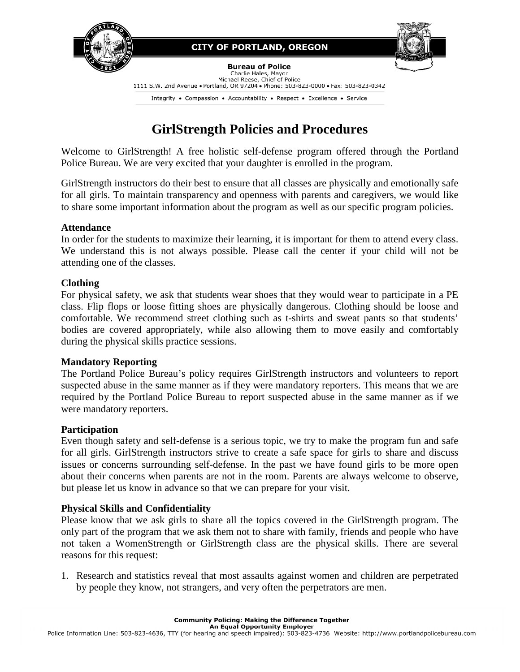

## **CITY OF PORTLAND, OREGON**



#### **Bureau of Police**

Charlie Hales, Mayor<br>Michael Reese, Chief of Police 1111 S.W. 2nd Avenue • Portland, OR 97204 • Phone: 503-823-0000 • Fax: 503-823-0342

Integrity . Compassion . Accountability . Respect . Excellence . Service

# **GirlStrength Policies and Procedures**

Welcome to GirlStrength! A free holistic self-defense program offered through the Portland Police Bureau. We are very excited that your daughter is enrolled in the program.

GirlStrength instructors do their best to ensure that all classes are physically and emotionally safe for all girls. To maintain transparency and openness with parents and caregivers, we would like to share some important information about the program as well as our specific program policies.

#### **Attendance**

In order for the students to maximize their learning, it is important for them to attend every class. We understand this is not always possible. Please call the center if your child will not be attending one of the classes.

## **Clothing**

For physical safety, we ask that students wear shoes that they would wear to participate in a PE class. Flip flops or loose fitting shoes are physically dangerous. Clothing should be loose and comfortable. We recommend street clothing such as t-shirts and sweat pants so that students' bodies are covered appropriately, while also allowing them to move easily and comfortably during the physical skills practice sessions.

#### **Mandatory Reporting**

The Portland Police Bureau's policy requires GirlStrength instructors and volunteers to report suspected abuse in the same manner as if they were mandatory reporters. This means that we are required by the Portland Police Bureau to report suspected abuse in the same manner as if we were mandatory reporters.

#### **Participation**

Even though safety and self-defense is a serious topic, we try to make the program fun and safe for all girls. GirlStrength instructors strive to create a safe space for girls to share and discuss issues or concerns surrounding self-defense. In the past we have found girls to be more open about their concerns when parents are not in the room. Parents are always welcome to observe, but please let us know in advance so that we can prepare for your visit.

# **Physical Skills and Confidentiality**

Please know that we ask girls to share all the topics covered in the GirlStrength program. The only part of the program that we ask them not to share with family, friends and people who have not taken a WomenStrength or GirlStrength class are the physical skills. There are several reasons for this request:

1. Research and statistics reveal that most assaults against women and children are perpetrated by people they know, not strangers, and very often the perpetrators are men.